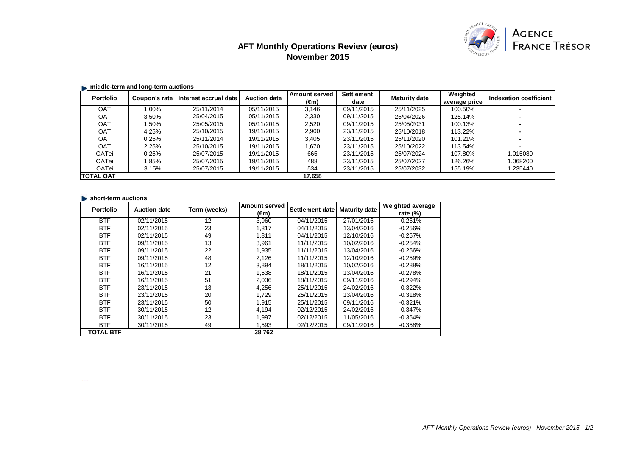# **AFT Monthly Operations Review (euros) November 2015**



## **Example 1** middle-term and long-term auctions

| <b>Portfolio</b>  | Coupon's rate | Interest accrual date | <b>Auction date</b> | <b>Amount served</b> | <b>Settlement</b> | <b>Maturity date</b> | Weighted      | Indexation coefficient |
|-------------------|---------------|-----------------------|---------------------|----------------------|-------------------|----------------------|---------------|------------------------|
|                   |               |                       |                     | (€m)                 | date              |                      | average price |                        |
| <b>OAT</b>        | 1.00%         | 25/11/2014            | 05/11/2015          | 3.146                | 09/11/2015        | 25/11/2025           | 100.50%       |                        |
| OAT               | 3.50%         | 25/04/2015            | 05/11/2015          | 2,330                | 09/11/2015        | 25/04/2026           | 125.14%       |                        |
| <b>OAT</b>        | $.50\%$       | 25/05/2015            | 05/11/2015          | 2,520                | 09/11/2015        | 25/05/2031           | 100.13%       |                        |
| OAT               | 4.25%         | 25/10/2015            | 19/11/2015          | 2,900                | 23/11/2015        | 25/10/2018           | 113.22%       |                        |
| OAT               | 0.25%         | 25/11/2014            | 19/11/2015          | 3,405                | 23/11/2015        | 25/11/2020           | 101.21%       |                        |
| <b>OAT</b>        | 2.25%         | 25/10/2015            | 19/11/2015          | 1.670                | 23/11/2015        | 25/10/2022           | 113.54%       |                        |
| OATei             | 0.25%         | 25/07/2015            | 19/11/2015          | 665                  | 23/11/2015        | 25/07/2024           | 107.80%       | 1.015080               |
| OATei             | 1.85%         | 25/07/2015            | 19/11/2015          | 488                  | 23/11/2015        | 25/07/2027           | 126.26%       | .068200                |
| OATei             | 3.15%         | 25/07/2015            | 19/11/2015          | 534                  | 23/11/2015        | 25/07/2032           | 155.19%       | 1.235440               |
| <b>ITOTAL OAT</b> |               |                       |                     | 17,658               |                   |                      |               |                        |

#### $\blacktriangleright$  short-term auctions

| <b>Portfolio</b> | <b>Auction date</b> | Term (weeks) | <b>Amount served</b> | <b>Settlement date</b> | <b>Maturity date</b> | Weighted average |
|------------------|---------------------|--------------|----------------------|------------------------|----------------------|------------------|
|                  |                     |              | (€m)                 |                        |                      | rate $(\%)$      |
| <b>BTF</b>       | 02/11/2015          | 12           | 3,960                | 04/11/2015             | 27/01/2016           | $-0.261%$        |
| <b>BTF</b>       | 02/11/2015          | 23           | 1,817                | 04/11/2015             | 13/04/2016           | $-0.256%$        |
| <b>BTF</b>       | 02/11/2015          | 49           | 1,811                | 04/11/2015             | 12/10/2016           | $-0.257%$        |
| <b>BTF</b>       | 09/11/2015          | 13           | 3.961                | 11/11/2015             | 10/02/2016           | $-0.254%$        |
| <b>BTF</b>       | 09/11/2015          | 22           | 1.935                | 11/11/2015             | 13/04/2016           | $-0.256%$        |
| <b>BTF</b>       | 09/11/2015          | 48           | 2.126                | 11/11/2015             | 12/10/2016           | $-0.259%$        |
| <b>BTF</b>       | 16/11/2015          | 12           | 3,894                | 18/11/2015             | 10/02/2016           | $-0.288%$        |
| <b>BTF</b>       | 16/11/2015          | 21           | 1,538                | 18/11/2015             | 13/04/2016           | $-0.278%$        |
| <b>BTF</b>       | 16/11/2015          | 51           | 2,036                | 18/11/2015             | 09/11/2016           | $-0.294%$        |
| <b>BTF</b>       | 23/11/2015          | 13           | 4,256                | 25/11/2015             | 24/02/2016           | $-0.322%$        |
| <b>BTF</b>       | 23/11/2015          | 20           | 1.729                | 25/11/2015             | 13/04/2016           | $-0.318%$        |
| <b>BTF</b>       | 23/11/2015          | 50           | 1,915                | 25/11/2015             | 09/11/2016           | $-0.321%$        |
| <b>BTF</b>       | 30/11/2015          | 12           | 4,194                | 02/12/2015             | 24/02/2016           | $-0.347\%$       |
| <b>BTF</b>       | 30/11/2015          | 23           | 1,997                | 02/12/2015             | 11/05/2016           | $-0.354%$        |
| <b>BTF</b>       | 30/11/2015          | 49           | 1,593                | 02/12/2015             | 09/11/2016           | $-0.358%$        |
| <b>TOTAL BTF</b> |                     |              | 38,762               |                        |                      |                  |